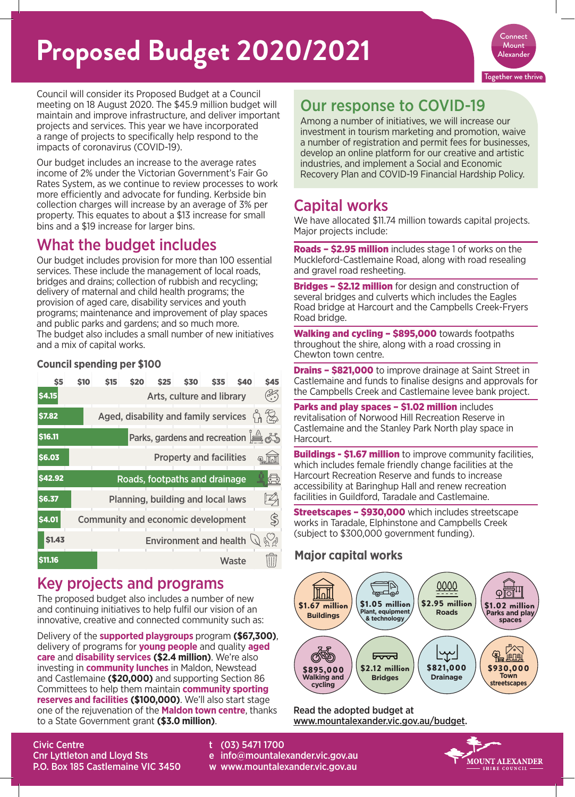# **Proposed Budget 2020/2021**



Council will consider its Proposed Budget at a Council meeting on 18 August 2020. The \$45.9 million budget will maintain and improve infrastructure, and deliver important projects and services. This year we have incorporated a range of projects to specifically help respond to the impacts of coronavirus (COVID-19).

Our budget includes an increase to the average rates income of 2% under the Victorian Government's Fair Go Rates System, as we continue to review processes to work more efficiently and advocate for funding. Kerbside bin collection charges will increase by an average of 3% per property. This equates to about a \$13 increase for small bins and a \$19 increase for larger bins.

## What the budget includes

Our budget includes provision for more than 100 essential services. These include the management of local roads, bridges and drains; collection of rubbish and recycling; delivery of maternal and child health programs; the provision of aged care, disability services and youth programs; maintenance and improvement of play spaces and public parks and gardens; and so much more. The budget also includes a small number of new initiatives and a mix of capital works.

#### **Council spending per \$100**

| S <sub>5</sub> | <b>S10</b> | <b>S15</b> | <b>\$20</b> | \$25                                      | <b>\$30</b> | S <sub>35</sub>                | <b>\$40</b> | <b>\$45</b>                                                                                                   |
|----------------|------------|------------|-------------|-------------------------------------------|-------------|--------------------------------|-------------|---------------------------------------------------------------------------------------------------------------|
| <b>\$4.15</b>  |            |            |             |                                           |             | Arts, culture and library      |             | $(\frac{2}{\epsilon})$                                                                                        |
| <b>\$7.82</b>  |            |            |             | Aged, disability and family services      |             |                                |             | <u> 대교</u>                                                                                                    |
| <b>\$16.11</b> |            |            |             |                                           |             |                                |             | Parks, gardens and recreation $\stackrel{\circ}{\Longrightarrow} \stackrel{\wedge}{\ll} \stackrel{\sim}{\gg}$ |
| \$6.03         |            |            |             |                                           |             | <b>Property and facilities</b> |             | ⊛                                                                                                             |
| <b>S42.92</b>  |            |            |             | Roads, footpaths and drainage             |             |                                |             | (A                                                                                                            |
| \$6.37         |            |            |             | Planning, building and local laws         |             |                                |             | $\mathbb{Z}_{2}$                                                                                              |
| \$4.01         |            |            |             | <b>Community and economic development</b> |             |                                |             | $\mathbb{S}$                                                                                                  |
| <b>\$1.43</b>  |            |            |             | <b>Environment and health</b>             |             |                                |             | $\mathbb{C}$                                                                                                  |
| <b>S11.16</b>  |            |            |             |                                           |             |                                | Waste       |                                                                                                               |

### Key projects and programs

The proposed budget also includes a number of new and continuing initiatives to help fulfil our vision of an innovative, creative and connected community such as:

Delivery of the **supported playgroups** program **(\$67,300)**, delivery of programs for **young people** and quality **aged care** and **disability services (\$2.4 million)**. We're also investing in **community lunches** in Maldon, Newstead and Castlemaine **(\$20,000)** and supporting Section 86 Committees to help them maintain **community sporting reserves and facilities (\$100,000)**. We'll also start stage one of the rejuvenation of the **Maldon town centre**, thanks to a State Government grant **(\$3.0 million)**.

### investment in tourism marketing and promotion, waive a number of registration and permit fees for businesses,

develop an online platform for our creative and artistic industries, and implement a Social and Economic Recovery Plan and COVID-19 Financial Hardship Policy.

Among a number of initiatives, we will increase our

Our response to COVID-19

## Capital works

We have allocated \$11.74 million towards capital projects. Major projects include:

Roads – \$2.95 million includes stage 1 of works on the Muckleford-Castlemaine Road, along with road resealing and gravel road resheeting.

**Bridges - \$2.12 million** for design and construction of several bridges and culverts which includes the Eagles Road bridge at Harcourt and the Campbells Creek-Fryers Road bridge.

Walking and cycling - \$895,000 towards footpaths throughout the shire, along with a road crossing in Chewton town centre.

**Drains - \$821,000** to improve drainage at Saint Street in Castlemaine and funds to finalise designs and approvals for the Campbells Creek and Castlemaine levee bank project.

Parks and play spaces - \$1.02 million includes revitalisation of Norwood Hill Recreation Reserve in Castlemaine and the Stanley Park North play space in Harcourt.

**Buildings - \$1.67 million** to improve community facilities. which includes female friendly change facilities at the Harcourt Recreation Reserve and funds to increase accessibility at Baringhup Hall and renew recreation facilities in Guildford, Taradale and Castlemaine.

Streetscapes – \$930,000 which includes streetscape works in Taradale, Elphinstone and Campbells Creek (subject to \$300,000 government funding).

### **Major capital works**



#### Read the adopted budget at www.mountalexander.vic.gov.au/budget.



Civic Centre Cnr Lyttleton and Lloyd Sts P.O. Box 185 Castlemaine VIC 3450

- t (03) 5471 1700
- e info@mountalexander.vic.gov.au
- w www.mountalexander.vic.gov.au